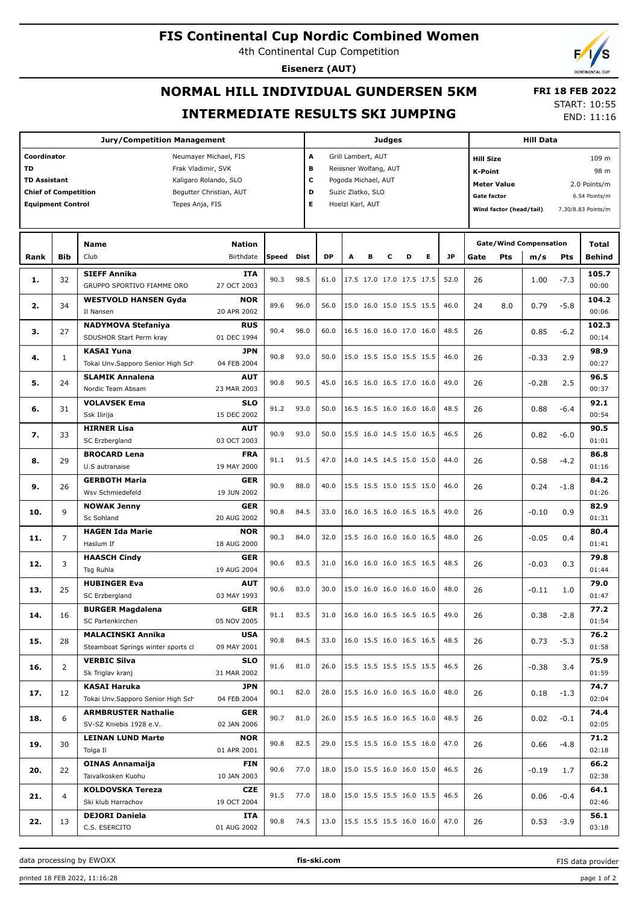### **FIS Continental Cup Nordic Combined Women**

4th Continental Cup Competition

**Jury/Competition Management**

**Coordinator** Neumayer Michael, FIS **TD** Frak Vladimir, SVK **TD Assistant** Kaligaro Rolando, SLO **Chief of Competition** Begutter Christian, AUT **Equipment Control** Tepes Anja, FIS

**Eisenerz (AUT)**

# **NORMAL HILL INDIVIDUAL GUNDERSEN 5KM INTERMEDIATE RESULTS SKI JUMPING**

**A** Grill Lambert, AUT **B** Reissner Wolfang, AUT **C** Pogoda Michael, AUT **D** Suzic Zlatko, SLO **E** Hoelzl Karl, AUT

**Judges**

START: 10:55 END: 11:16

 **FRI 18 FEB 2022**

**Hill Data**

**K-Point** 98 m **Hill Size** 109 m

**Meter Value** 2.0 Points/m **Gate factor** 6.54 Points/m **Wind factor (head/tail)** 7.30/8.83 Points/m

**Bib Name** Club Birthdate **Nation Rank Speed Dist DP A B C D E JP Total m/s Pts Gate/Wind Compensation** Gate Pts m/s Pts Behind **SIEFF Annika** GRUPPO SPORTIVO FIAMME ORO **ITA** 27 OCT 2003 32 90.3 98.5 61.0 17.5 17.0 17.0 17.5 17.5 52.0 **1.** 26 1.00 -7.3 **105.7**  $0<sub>0</sub>$ **WESTVOLD HANSEN Gyda** Il Nansen **NOR** 20 APR 2002 34 89.6 96.0 56.0 15.0 16.0 15.0 15.5 15.5 46.0 **2.** 24 8.0 0.79 -5.8 **104.2** 00:06 **NADYMOVA Stefaniya** SDUSHOR Start Perm kray **RUS** 01 DEC 1994 27 90.4 98.0 60.0 16.5 16.0 16.0 17.0 16.0 48.5 **3.** 26 0.85 -6.2 **102.3** 00:14 **KASAI Yuna** Tokai Unv.Sapporo Senior High Sch **JPN** 04 FEB 2004 1 90.8 93.0 50.0 15.0 15.5 15.0 15.5 15.5 46.0 **4.** 26 -0.33 2.9 **98.9**  $00.27$ **SLAMIK Annalena** Nordic Team Absam **AUT** 23 MAR 2003 24 90.8 90.5 45.0 16.5 16.0 16.5 17.0 16.0 49.0 **5.** 26 -0.28 2.5 **96.5** 00:37 **VOLAVSEK Ema** Ssk Ilirija **SLO** 15 DEC 2002 31 91.2 93.0 50.0 16.5 16.5 16.0 16.0 16.0 48.5 **6.** 26 0.88 -6.4 **92.1**  $00.54$ **HIRNER Lisa** SC Erzbergland **AUT** 03 OCT 2003 33 90.9 93.0 50.0 15.5 16.0 14.5 15.0 16.5 46.5 **7.** 26 0.82 -6.0 **90.5** 01:01 **BROCARD Lena** U.S autranaise **FRA** 19 MAY 2000 29 91.1 91.5 47.0 14.0 14.5 14.5 15.0 15.0 44.0 **86.8 8.** 26 0.58 -4.2  $01:16$ **GERBOTH Maria** Wsv Schmiedefeld **GER** 19 JUN 2002 26 90.9 88.0 40.0 15.5 15.5 15.0 15.5 15.0 46.0 **9.** 26 0.24 -1.8 **84.2**  $01:26$ **NOWAK Jenny** Sc Sohland **GER** 20 AUG 2002 9 90.8 84.5 33.0 16.0 16.5 16.0 16.5 16.5 49.0 **10.** 26 -0.10 0.9 **82.9** 01:31 **HAGEN Ida Marie** Haslum If **NOR** 18 AUG 2000 7 90.3 84.0 32.0 15.5 16.0 16.0 16.0 16.5 48.0 **11.** 26 -0.05 0.4 **80.4** 01:41 **HAASCH Cindy** Tsg Ruhla **GER** 19 AUG 2004 3 90.6 83.5 31.0 16.0 16.0 16.0 16.5 16.5 48.5 **12.** 26 -0.03 0.3 **79.8** 01:44 **HUBINGER Eva** SC Erzbergland **AUT** 03 MAY 1993 **13.**  $\begin{bmatrix} 25 \end{bmatrix}$   $\begin{bmatrix} 2.5 \end{bmatrix}$   $\begin{bmatrix} 2.5 \end{bmatrix}$   $\begin{bmatrix} 2.5 \end{bmatrix}$   $\begin{bmatrix} 2.5 \end{bmatrix}$   $\begin{bmatrix} 2.5 \end{bmatrix}$   $\begin{bmatrix} 2.5 \end{bmatrix}$   $\begin{bmatrix} 2.5 \end{bmatrix}$   $\begin{bmatrix} 2.5 \end{bmatrix}$   $\begin{bmatrix} 2.5 \end{bmatrix}$   $\begin{bmatrix} 2.5 \end{bmatrix}$   $\begin{bmatrix}$ **79.0** 01:47 **BURGER Magdalena** SC Partenkirchen **GER** 05 NOV 2005 16 91.1 83.5 31.0 16.0 16.0 16.5 16.5 16.5 49.0 **14.** 26 0.38 -2.8 **77.2** 01:54 **MALACINSKI Annika** Steamboat Springs winter sports cl **USA** 09 MAY 2001 28 90.8 84.5 33.0 16.0 15.5 16.0 16.5 16.5 48.5 **15.** 26 0.73 -5.3 **76.2** 01:58 **VERBIC Silva** Sk Triglav kranj **SLO** 31 MAR 2002 2 91.6 81.0 26.0 15.5 15.5 15.5 15.5 15.5 46.5 **16.** 26 -0.38 3.4 **75.9** 01:59 **KASAI Haruka** Tokai Unv.Sapporo Senior High Sch **JPN** 04 FEB 2004 12 **MASAI NATURE** 12 **DEN** 90.1 82.0 15.5 16.0 16.0 16.5 16.0 48.0 **74.7 17.** 26 0.18 -1.3  $02.04$ **ARMBRUSTER Nathalie** SV-SZ Kniebis 1928 e.V. **GER** 02 JAN 2006 6 90.7 81.0 26.0 15.5 16.5 16.0 16.5 16.0 48.5 **18.** 26 0.02 -0.1 **74.4** 02:05 **LEINAN LUND Marte** Tolga Il **NOR** 01 APR 2001 30 90.8 82.5 29.0 15.5 15.5 16.0 15.5 16.0 47.0 **19.** 26 0.66 -4.8 **71.2**  $02.18$ **OINAS Annamaija** Taivalkosken Kuohu **FIN** 10 JAN 2003 22 90.6 77.0 18.0 15.0 15.5 16.0 16.0 15.0 46.5 **20.** 26 -0.19 1.7 **66.2** 02:38 **KOLDOVSKA Tereza** Ski klub Harrachov **CZE** 19 OCT 2004 4 91.5 77.0 18.0 15.0 15.5 15.5 16.0 15.5 46.5 **21.** 26 0.06 -0.4 **64.1** 02:46 **DEJORI Daniela** C.S. ESERCITO **ITA** 01 AUG 2002 13 90.8 74.5 13.0 15.5 15.5 15.5 16.0 16.0 47.0 **22.** 26 0.53 -3.9 **56.1** 03:18

data processing by EWOXX **fis-ski.com**

FIS data provider